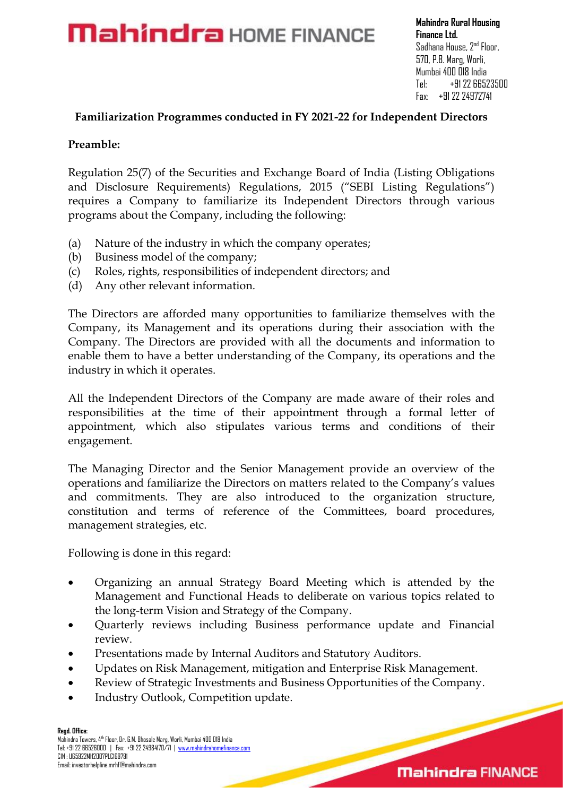## **Mahindra** HOME FINANCE

**Mahindra Rural Housing Finance Ltd.** Sadhana House, 2<sup>nd</sup> Floor, 570, P.B. Marg, Worli, Mumbai 400 018 India Tel: +91 22 66523500 Fax: +91 22 24972741

#### **Familiarization Programmes conducted in FY 2021-22 for Independent Directors**

#### **Preamble:**

Regulation 25(7) of the Securities and Exchange Board of India (Listing Obligations and Disclosure Requirements) Regulations, 2015 ("SEBI Listing Regulations") requires a Company to familiarize its Independent Directors through various programs about the Company, including the following:

- (a) Nature of the industry in which the company operates;
- (b) Business model of the company;
- (c) Roles, rights, responsibilities of independent directors; and
- (d) Any other relevant information.

The Directors are afforded many opportunities to familiarize themselves with the Company, its Management and its operations during their association with the Company. The Directors are provided with all the documents and information to enable them to have a better understanding of the Company, its operations and the industry in which it operates.

All the Independent Directors of the Company are made aware of their roles and responsibilities at the time of their appointment through a formal letter of appointment, which also stipulates various terms and conditions of their engagement.

The Managing Director and the Senior Management provide an overview of the operations and familiarize the Directors on matters related to the Company's values and commitments. They are also introduced to the organization structure, constitution and terms of reference of the Committees, board procedures, management strategies, etc.

Following is done in this regard:

- Organizing an annual Strategy Board Meeting which is attended by the Management and Functional Heads to deliberate on various topics related to the long-term Vision and Strategy of the Company.
- Quarterly reviews including Business performance update and Financial review.
- Presentations made by Internal Auditors and Statutory Auditors.
- Updates on Risk Management, mitigation and Enterprise Risk Management.
- Review of Strategic Investments and Business Opportunities of the Company.
- Industry Outlook, Competition update.

 Email[: investorhelpline.mrhfl@mahindra.com](mailto:investorhelpline.mrhfl@mahindra.com) **Regd. Office:** Mahindra Towers, 4th Floor, Dr. G.M. Bhosale Marg, Worli, Mumbai 400 018 India Tel: +91 22 66526000 | Fax: +91 22 24984170/71 | [www.mahindrahomefinance.com](http://www.mahindrahomefinance.com/) CIN : U65922MH2007PLC169791

### **Mahindra FINANCE**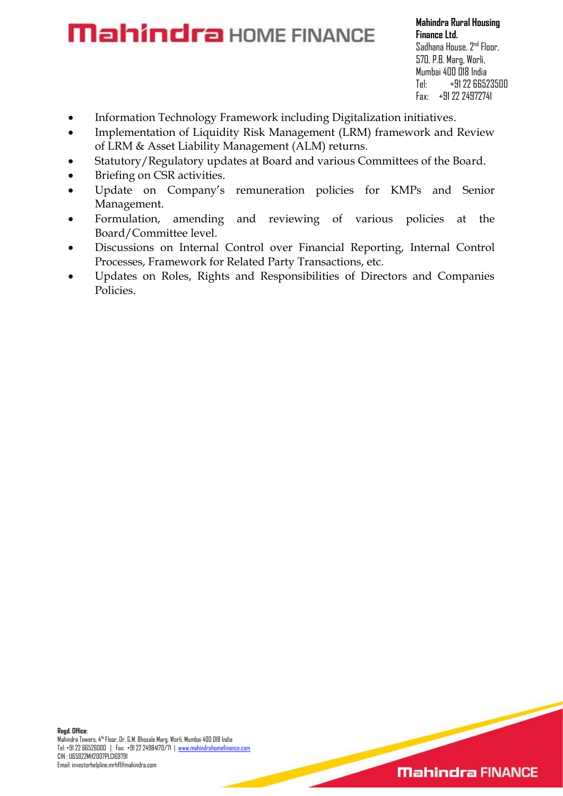# **Mahindra** HOME FINANCE

**Mahindra Rural Housing Finance Ltd.** Sadhana House, 2<sup>nd</sup> Floor, 570, P.B. Marg, Worli, Mumbai 400 018 India Tel: +91 22 66523500 Fax: +91 22 24972741

- Information Technology Framework including Digitalization initiatives.
- Implementation of Liquidity Risk Management (LRM) framework and Review of LRM & Asset Liability Management (ALM) returns.
- Statutory/Regulatory updates at Board and various Committees of the Board.
- Briefing on CSR activities.
- Update on Company's remuneration policies for KMPs and Senior Management.
- Formulation, amending and reviewing of various policies at the Board/Committee level.
- Discussions on Internal Control over Financial Reporting, Internal Control Processes, Framework for Related Party Transactions, etc.
- Updates on Roles, Rights and Responsibilities of Directors and Companies Policies.